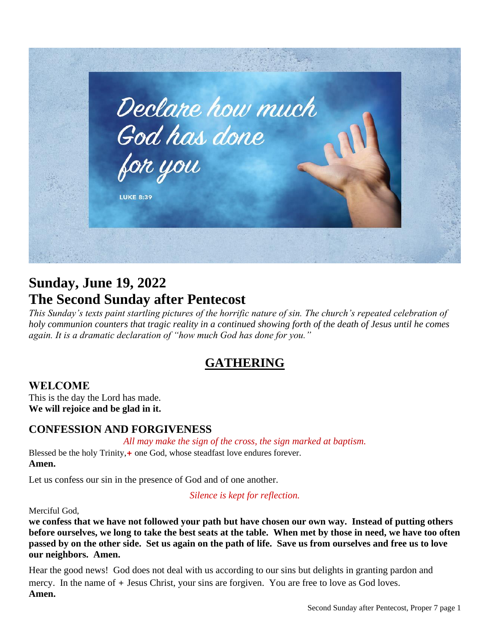

# **Sunday, June 19, 2022 The Second Sunday after Pentecost**

*This Sunday's texts paint startling pictures of the horrific nature of sin. The church's repeated celebration of holy communion counters that tragic reality in a continued showing forth of the death of Jesus until he comes again. It is a dramatic declaration of "how much God has done for you."*

# **GATHERING**

## **WELCOME**

This is the day the Lord has made. **We will rejoice and be glad in it.**

## **CONFESSION AND FORGIVENESS**

*All may make the sign of the cross, the sign marked at baptism.*

Blessed be the holy Trinity, + one God, whose steadfast love endures forever. **Amen.**

Let us confess our sin in the presence of God and of one another.

*Silence is kept for reflection.*

Merciful God,

**we confess that we have not followed your path but have chosen our own way. Instead of putting others before ourselves, we long to take the best seats at the table. When met by those in need, we have too often passed by on the other side. Set us again on the path of life. Save us from ourselves and free us to love our neighbors. Amen.**

Hear the good news! God does not deal with us according to our sins but delights in granting pardon and mercy. In the name of + Jesus Christ, your sins are forgiven. You are free to love as God loves. **Amen.**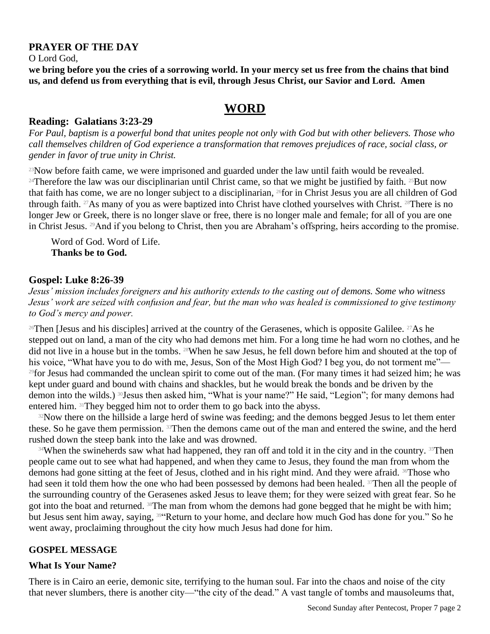#### **PRAYER OF THE DAY**

O Lord God,

**we bring before you the cries of a sorrowing world. In your mercy set us free from the chains that bind us, and defend us from everything that is evil, through Jesus Christ, our Savior and Lord. Amen**

## **WORD**

#### **Reading: Galatians 3:23-29**

*For Paul, baptism is a powerful bond that unites people not only with God but with other believers. Those who call themselves children of God experience a transformation that removes prejudices of race, social class, or gender in favor of true unity in Christ.*

<sup>23</sup>Now before faith came, we were imprisoned and guarded under the law until faith would be revealed. <sup>24</sup>Therefore the law was our disciplinarian until Christ came, so that we might be justified by faith. <sup>25</sup>But now that faith has come, we are no longer subject to a disciplinarian, <sup>26</sup>for in Christ Jesus you are all children of God through faith. <sup>27</sup>As many of you as were baptized into Christ have clothed yourselves with Christ. <sup>28</sup>There is no longer Jew or Greek, there is no longer slave or free, there is no longer male and female; for all of you are one in Christ Jesus. 29And if you belong to Christ, then you are Abraham's offspring, heirs according to the promise.

Word of God. Word of Life. **Thanks be to God.** 

#### **Gospel: Luke 8:26-39**

*Jesus' mission includes foreigners and his authority extends to the casting out of demons. Some who witness Jesus' work are seized with confusion and fear, but the man who was healed is commissioned to give testimony to God's mercy and power.*

 $26$ Then [Jesus and his disciples] arrived at the country of the Gerasenes, which is opposite Galilee.  $27$ As he stepped out on land, a man of the city who had demons met him. For a long time he had worn no clothes, and he did not live in a house but in the tombs. <sup>28</sup>When he saw Jesus, he fell down before him and shouted at the top of his voice, "What have you to do with me, Jesus, Son of the Most High God? I beg you, do not torment me"— <sup>29</sup>for Jesus had commanded the unclean spirit to come out of the man. (For many times it had seized him; he was kept under guard and bound with chains and shackles, but he would break the bonds and be driven by the demon into the wilds.) <sup>30</sup>Jesus then asked him, "What is your name?" He said, "Legion"; for many demons had entered him. 31They begged him not to order them to go back into the abyss.

<sup>32</sup>Now there on the hillside a large herd of swine was feeding; and the demons begged Jesus to let them enter these. So he gave them permission. 33 Then the demons came out of the man and entered the swine, and the herd rushed down the steep bank into the lake and was drowned.

34When the swineherds saw what had happened, they ran off and told it in the city and in the country. 35Then people came out to see what had happened, and when they came to Jesus, they found the man from whom the demons had gone sitting at the feet of Jesus, clothed and in his right mind. And they were afraid. <sup>36</sup>Those who had seen it told them how the one who had been possessed by demons had been healed. <sup>37</sup>Then all the people of the surrounding country of the Gerasenes asked Jesus to leave them; for they were seized with great fear. So he got into the boat and returned. <sup>38</sup>The man from whom the demons had gone begged that he might be with him; but Jesus sent him away, saying, <sup>394</sup>Return to your home, and declare how much God has done for you." So he went away, proclaiming throughout the city how much Jesus had done for him.

#### **GOSPEL MESSAGE**

#### **What Is Your Name?**

There is in Cairo an eerie, demonic site, terrifying to the human soul. Far into the chaos and noise of the city that never slumbers, there is another city—"the city of the dead." A vast tangle of tombs and mausoleums that,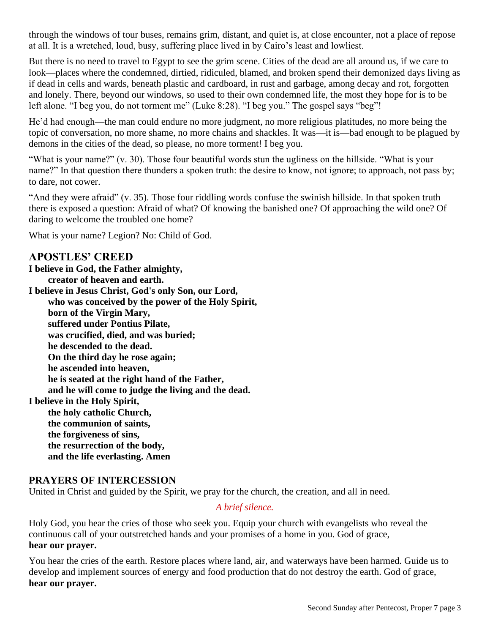through the windows of tour buses, remains grim, distant, and quiet is, at close encounter, not a place of repose at all. It is a wretched, loud, busy, suffering place lived in by Cairo's least and lowliest.

But there is no need to travel to Egypt to see the grim scene. Cities of the dead are all around us, if we care to look—places where the condemned, dirtied, ridiculed, blamed, and broken spend their demonized days living as if dead in cells and wards, beneath plastic and cardboard, in rust and garbage, among decay and rot, forgotten and lonely. There, beyond our windows, so used to their own condemned life, the most they hope for is to be left alone. "I beg you, do not torment me" (Luke 8:28). "I beg you." The gospel says "beg"!

He'd had enough—the man could endure no more judgment, no more religious platitudes, no more being the topic of conversation, no more shame, no more chains and shackles. It was—it is—bad enough to be plagued by demons in the cities of the dead, so please, no more torment! I beg you.

"What is your name?" (v. 30). Those four beautiful words stun the ugliness on the hillside. "What is your name?" In that question there thunders a spoken truth: the desire to know, not ignore; to approach, not pass by; to dare, not cower.

"And they were afraid" (v. 35). Those four riddling words confuse the swinish hillside. In that spoken truth there is exposed a question: Afraid of what? Of knowing the banished one? Of approaching the wild one? Of daring to welcome the troubled one home?

What is your name? Legion? No: Child of God.

### **APOSTLES' CREED**

**I believe in God, the Father almighty, creator of heaven and earth. I believe in Jesus Christ, God's only Son, our Lord, who was conceived by the power of the Holy Spirit, born of the Virgin Mary, suffered under Pontius Pilate, was crucified, died, and was buried; he descended to the dead. On the third day he rose again; he ascended into heaven, he is seated at the right hand of the Father, and he will come to judge the living and the dead. I believe in the Holy Spirit, the holy catholic Church, the communion of saints, the forgiveness of sins, the resurrection of the body, and the life everlasting. Amen**

### **PRAYERS OF INTERCESSION**

United in Christ and guided by the Spirit, we pray for the church, the creation, and all in need.

#### *A brief silence.*

Holy God, you hear the cries of those who seek you. Equip your church with evangelists who reveal the continuous call of your outstretched hands and your promises of a home in you. God of grace, **hear our prayer.**

You hear the cries of the earth. Restore places where land, air, and waterways have been harmed. Guide us to develop and implement sources of energy and food production that do not destroy the earth. God of grace, **hear our prayer.**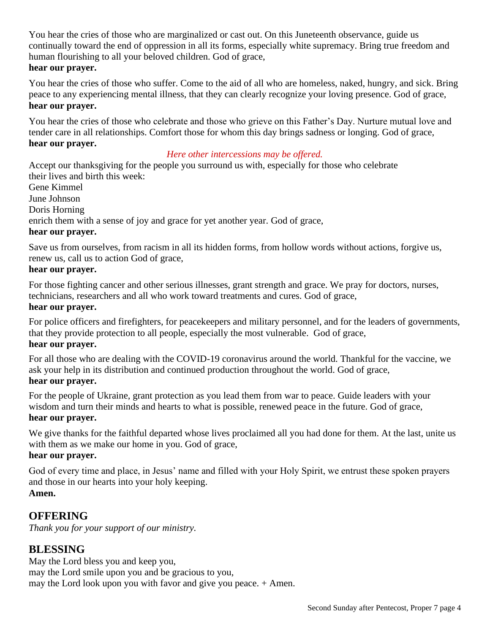You hear the cries of those who are marginalized or cast out. On this Juneteenth observance, guide us continually toward the end of oppression in all its forms, especially white supremacy. Bring true freedom and human flourishing to all your beloved children. God of grace, **hear our prayer.**

You hear the cries of those who suffer. Come to the aid of all who are homeless, naked, hungry, and sick. Bring peace to any experiencing mental illness, that they can clearly recognize your loving presence. God of grace, **hear our prayer.**

You hear the cries of those who celebrate and those who grieve on this Father's Day. Nurture mutual love and tender care in all relationships. Comfort those for whom this day brings sadness or longing. God of grace, **hear our prayer.**

#### *Here other intercessions may be offered.*

Accept our thanksgiving for the people you surround us with, especially for those who celebrate their lives and birth this week: Gene Kimmel June Johnson Doris Horning enrich them with a sense of joy and grace for yet another year. God of grace, **hear our prayer.**

Save us from ourselves, from racism in all its hidden forms, from hollow words without actions, forgive us, renew us, call us to action God of grace,

#### **hear our prayer.**

For those fighting cancer and other serious illnesses, grant strength and grace. We pray for doctors, nurses, technicians, researchers and all who work toward treatments and cures. God of grace,

#### **hear our prayer.**

For police officers and firefighters, for peacekeepers and military personnel, and for the leaders of governments, that they provide protection to all people, especially the most vulnerable. God of grace, **hear our prayer.**

For all those who are dealing with the COVID-19 coronavirus around the world. Thankful for the vaccine, we ask your help in its distribution and continued production throughout the world. God of grace, **hear our prayer.**

For the people of Ukraine, grant protection as you lead them from war to peace. Guide leaders with your wisdom and turn their minds and hearts to what is possible, renewed peace in the future. God of grace, **hear our prayer.**

We give thanks for the faithful departed whose lives proclaimed all you had done for them. At the last, unite us with them as we make our home in you. God of grace,

#### **hear our prayer.**

God of every time and place, in Jesus' name and filled with your Holy Spirit, we entrust these spoken prayers and those in our hearts into your holy keeping. **Amen.**

## **OFFERING**

*Thank you for your support of our ministry.*

## **BLESSING**

May the Lord bless you and keep you, may the Lord smile upon you and be gracious to you, may the Lord look upon you with favor and give you peace. + Amen.